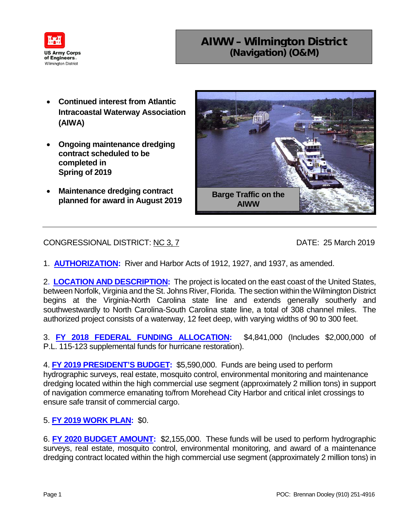

## AIWW – Wilmington District (Navigation) (O&M)

- **Continued interest from Atlantic Intracoastal Waterway Association (AIWA)**
- **Ongoing maintenance dredging contract scheduled to be completed in Spring of 2019**
- **Maintenance dredging contract planned for award in August 2019 Barge Traffic on the**



## CONGRESSIONAL DISTRICT: NC 3, 7 DATE: 25 March 2019

1. **AUTHORIZATION:** River and Harbor Acts of 1912, 1927, and 1937, as amended.

2. **LOCATION AND DESCRIPTION:** The project is located on the east coast of the United States, between Norfolk, Virginia and the St. Johns River, Florida. The section within the Wilmington District begins at the Virginia-North Carolina state line and extends generally southerly and southwestwardly to North Carolina-South Carolina state line, a total of 308 channel miles. The authorized project consists of a waterway, 12 feet deep, with varying widths of 90 to 300 feet.

3. **FY 2018 FEDERAL FUNDING ALLOCATION:** \$4,841,000 (Includes \$2,000,000 of P.L. 115-123 supplemental funds for hurricane restoration).

4. **FY 2019 PRESIDENT'S BUDGET:** \$5,590,000. Funds are being used to perform hydrographic surveys, real estate, mosquito control, environmental monitoring and maintenance dredging located within the high commercial use segment (approximately 2 million tons) in support of navigation commerce emanating to/from Morehead City Harbor and critical inlet crossings to ensure safe transit of commercial cargo.

## 5. **FY 2019 WORK PLAN:** \$0.

6. **FY 2020 BUDGET AMOUNT:** \$2,155,000. These funds will be used to perform hydrographic surveys, real estate, mosquito control, environmental monitoring, and award of a maintenance dredging contract located within the high commercial use segment (approximately 2 million tons) in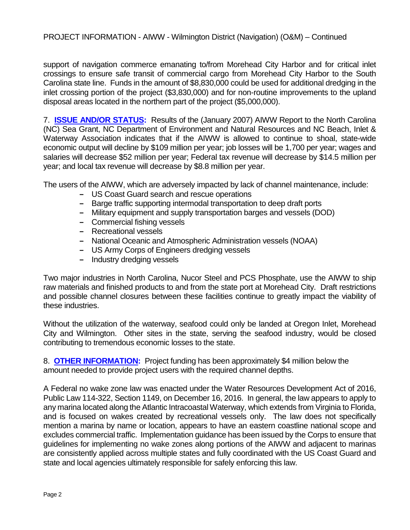support of navigation commerce emanating to/from Morehead City Harbor and for critical inlet crossings to ensure safe transit of commercial cargo from Morehead City Harbor to the South Carolina state line. Funds in the amount of \$8,830,000 could be used for additional dredging in the inlet crossing portion of the project (\$3,830,000) and for non-routine improvements to the upland disposal areas located in the northern part of the project (\$5,000,000).

7. **ISSUE AND/OR STATUS:** Results of the (January 2007) AIWW Report to the North Carolina (NC) Sea Grant, NC Department of Environment and Natural Resources and NC Beach, Inlet & Waterway Association indicates that if the AIWW is allowed to continue to shoal, state-wide economic output will decline by \$109 million per year; job losses will be 1,700 per year; wages and salaries will decrease \$52 million per year; Federal tax revenue will decrease by \$14.5 million per year; and local tax revenue will decrease by \$8.8 million per year.

The users of the AIWW, which are adversely impacted by lack of channel maintenance, include:

- **‒** US Coast Guard search and rescue operations
- **‒** Barge traffic supporting intermodal transportation to deep draft ports
- **‒** Military equipment and supply transportation barges and vessels (DOD)
- **‒** Commercial fishing vessels
- **‒** Recreational vessels
- **‒** National Oceanic and Atmospheric Administration vessels (NOAA)
- **‒** US Army Corps of Engineers dredging vessels
- **‒** Industry dredging vessels

Two major industries in North Carolina, Nucor Steel and PCS Phosphate, use the AIWW to ship raw materials and finished products to and from the state port at Morehead City. Draft restrictions and possible channel closures between these facilities continue to greatly impact the viability of these industries.

Without the utilization of the waterway, seafood could only be landed at Oregon Inlet, Morehead City and Wilmington. Other sites in the state, serving the seafood industry, would be closed contributing to tremendous economic losses to the state.

8. **OTHER INFORMATION:** Project funding has been approximately \$4 million below the amount needed to provide project users with the required channel depths.

A Federal no wake zone law was enacted under the Water Resources Development Act of 2016, Public Law 114-322, Section 1149, on December 16, 2016. In general, the law appears to apply to any marina located along the Atlantic Intracoastal Waterway, which extends from Virginia to Florida, and is focused on wakes created by recreational vessels only. The law does not specifically mention a marina by name or location, appears to have an eastern coastline national scope and excludes commercial traffic. Implementation guidance has been issued by the Corps to ensure that guidelines for implementing no wake zones along portions of the AIWW and adjacent to marinas are consistently applied across multiple states and fully coordinated with the US Coast Guard and state and local agencies ultimately responsible for safely enforcing this law.